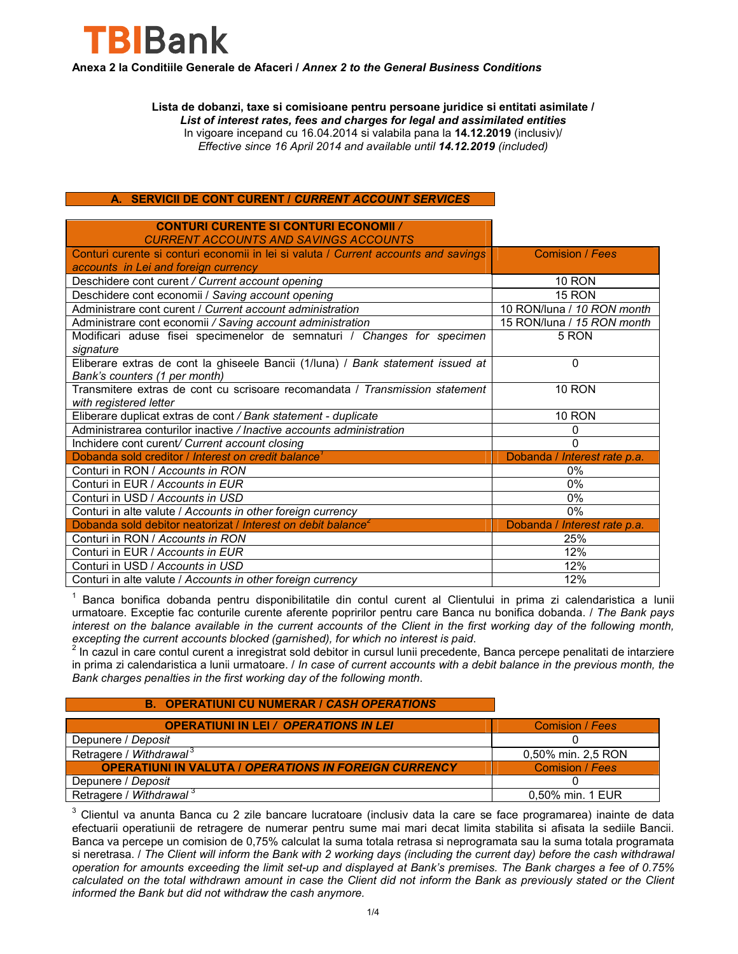

**Anexa 2 la Conditiile Generale de Afaceri /** *Annex 2 to the General Business Conditions*

**Lista de dobanzi, taxe si comisioane pentru persoane juridice si entitati asimilate /**  *List of interest rates, fees and charges for legal and assimilated entities*  In vigoare incepand cu 16.04.2014 si valabila pana la **14.12.2019** (inclusiv)/ *Effective since 16 April 2014 and available until 14.12.2019 (included)*

### **A. SERVICII DE CONT CURENT /** *CURRENT ACCOUNT SERVICES*

#### **CONTURI CURENTE SI CONTURI ECONOMII** */ CURRENT ACCOUNTS AND SAVINGS ACCOUNTS* Conturi curente si conturi economii in lei si valuta / *Current accounts and savings accounts in Lei and foreign currency* Comision / *Fees* Deschidere cont curent */ Current account opening* 10 RON 10 RON Deschidere cont economii / *Saving account opening*<br>
Administrare cont curent / *Current account administration* 10 RON/luna / 10 RON month Administrare cont curent / *Current account administration* Administrare cont economii */ Saving account administration* 15 RON/luna / *15 RON month* Modificari aduse fisei specimenelor de semnaturi / *Changes for specimen signature* 5 RON Eliberare extras de cont la ghiseele Bancii (1/luna) / *Bank statement issued at Bank's counters (1 per month)* 0 Transmitere extras de cont cu scrisoare recomandata / *Transmission statement with registered letter* 10 RON Eliberare duplicat extras de cont */ Bank statement - duplicate* 10 RON Administrarea conturilor inactive */ Inactive accounts administration* 0 Inchidere cont curent*/ Current account closing* 0 Dobanda sold creditor / *Interest on credit balance<sup>1</sup>* Dobanda / *Interest rate p.a.* Conturi in RON / *Accounts in RON*<br>
Conturi in EUR / *Accounts in EUR*<br>
0% Conturi in EUR / *Accounts in EUR* 0% Conturi in USD / Accounts in USD Conturi in alte valute / *Accounts in other foreign currency* 0% Dobanda sold debitor neatorizat / *Interest on debit balance*<sup>2</sup> Dobanda / *Interest rate p.a.* Conturi in RON / *Accounts in RON* 25% Conturi in EUR / *Accounts in EUR* 12% Conturi in USD / *Accounts in USD* 12% Conturi in alte valute / *Accounts in other foreign currency* 12%

<sup>1</sup> Banca bonifica dobanda pentru disponibilitatile din contul curent al Clientului in prima zi calendaristica a lunii urmatoare. Exceptie fac conturile curente aferente popririlor pentru care Banca nu bonifica dobanda. / *The Bank pays interest on the balance available in the current accounts of the Client in the first working day of the following month,* 

*excepting the current accounts blocked (garnished), for which no interest is paid.*<br><sup>2</sup> In cazul in care contul curent a inregistrat sold debitor in cursul lunii precedente, Banca percepe penalitati de intarziere in prima zi calendaristica a lunii urmatoare. / *In case of current accounts with a debit balance in the previous month, the Bank charges penalties in the first working day of the following month*.

### **B. OPERATIUNI CU NUMERAR /** *CASH OPERATIONS*

| <b>OPERATIUNI IN LEI / OPERATIONS IN LEI</b>                 | Comision / Fees    |
|--------------------------------------------------------------|--------------------|
| Depunere / Deposit                                           |                    |
| Retragere / Withdrawal <sup>3</sup>                          | 0,50% min. 2,5 RON |
| <b>OPERATIUNI IN VALUTA / OPERATIONS IN FOREIGN CURRENCY</b> | Comision / Fees    |
| Depunere / Deposit                                           |                    |
| Retragere / Withdrawal <sup>3</sup>                          | 0,50% min. 1 EUR   |

 $3$  Clientul va anunta Banca cu 2 zile bancare lucratoare (inclusiv data la care se face programarea) inainte de data efectuarii operatiunii de retragere de numerar pentru sume mai mari decat limita stabilita si afisata la sediile Bancii. Banca va percepe un comision de 0,75% calculat la suma totala retrasa si neprogramata sau la suma totala programata si neretrasa. / *The Client will inform the Bank with 2 working days (including the current day) before the cash withdrawal operation for amounts exceeding the limit set-up and displayed at Bank's premises. The Bank charges a fee of 0.75% calculated on the total withdrawn amount in case the Client did not inform the Bank as previously stated or the Client informed the Bank but did not withdraw the cash anymore.*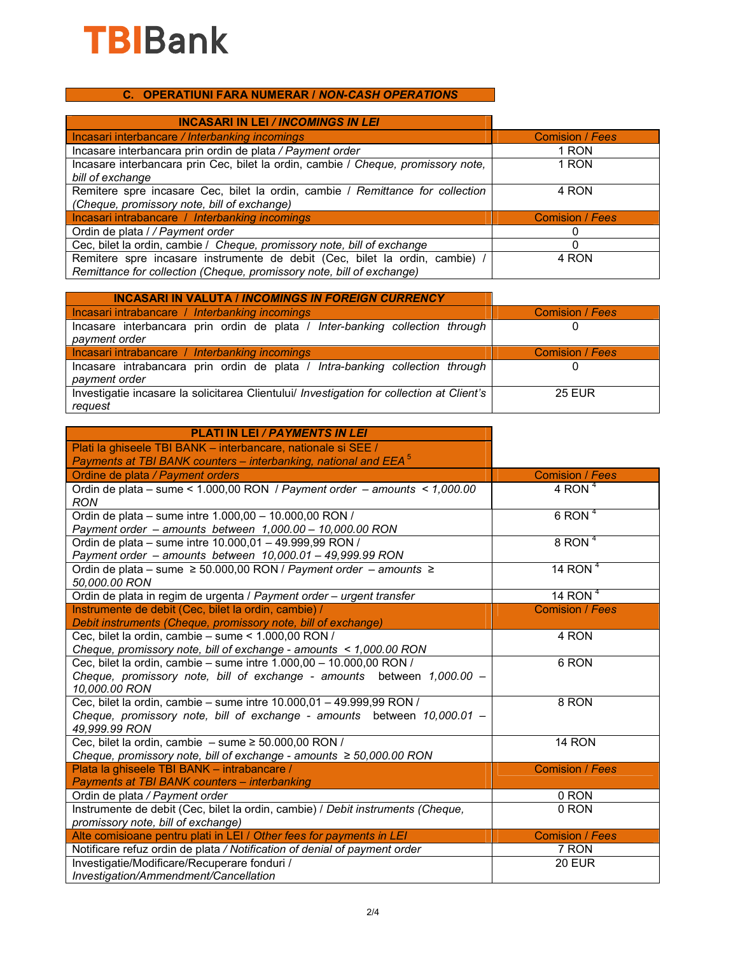

## **C. OPERATIUNI FARA NUMERAR /** *NON-CASH OPERATIONS*

| <b>INCASARI IN LEI / INCOMINGS IN LEI</b>                                                                                                            |                 |
|------------------------------------------------------------------------------------------------------------------------------------------------------|-----------------|
| Incasari interbancare / Interbanking incomings                                                                                                       | Comision / Fees |
| Incasare interbancara prin ordin de plata / Payment order                                                                                            | 1 RON           |
| Incasare interbancara prin Cec, bilet la ordin, cambie / Cheque, promissory note,<br>bill of exchange                                                | 1 RON           |
| Remitere spre incasare Cec, bilet la ordin, cambie / Remittance for collection                                                                       | 4 RON           |
| (Cheque, promissory note, bill of exchange)                                                                                                          |                 |
| Incasari intrabancare / Interbanking incomings                                                                                                       | Comision / Fees |
| Ordin de plata / / Payment order                                                                                                                     |                 |
| Cec, bilet la ordin, cambie / Cheque, promissory note, bill of exchange                                                                              |                 |
| Remitere spre incasare instrumente de debit (Cec, bilet la ordin, cambie) /<br>Remittance for collection (Cheque, promissory note, bill of exchange) | 4 RON           |

| <b>INCASARI IN VALUTA / INCOMINGS IN FOREIGN CURRENCY</b>                                            |                 |
|------------------------------------------------------------------------------------------------------|-----------------|
| Incasari intrabancare / Interbanking incomings                                                       | Comision / Fees |
| Incasare interbancara prin ordin de plata / Inter-banking collection through<br>payment order        |                 |
| Incasari intrabancare / Interbanking incomings                                                       | Comision / Fees |
| Incasare intrabancara prin ordin de plata / Intra-banking collection through<br>payment order        | $^{(1)}$        |
| Investigatie incasare la solicitarea Clientului/ Investigation for collection at Client's<br>request | <b>25 EUR</b>   |

| <b>PLATI IN LEI / PAYMENTS IN LEI</b>                                           |                        |
|---------------------------------------------------------------------------------|------------------------|
| Plati la ghiseele TBI BANK - interbancare, nationale si SEE /                   |                        |
| Payments at TBI BANK counters – interbanking, national and EEA <sup>5</sup>     |                        |
| Ordine de plata / Payment orders                                                | <b>Comision / Fees</b> |
| Ordin de plata - sume < 1.000,00 RON / Payment order - amounts < 1,000.00       | 4 RON $4$              |
| <b>RON</b>                                                                      |                        |
| Ordin de plata - sume intre 1.000,00 - 10.000,00 RON /                          | $6$ RON <sup>4</sup>   |
| Payment order - amounts between 1,000.00 - 10,000.00 RON                        |                        |
| Ordin de plata - sume intre 10.000,01 - 49.999,99 RON /                         | $8$ RON <sup>4</sup>   |
| Payment order - amounts between 10,000.01 - 49,999.99 RON                       |                        |
| Ordin de plata – sume ≥ 50.000,00 RON / Payment order – amounts ≥               | 14 RON $4$             |
| 50,000.00 RON                                                                   |                        |
| Ordin de plata in regim de urgenta / Payment order - urgent transfer            | 14 RON $4$             |
| Instrumente de debit (Cec, bilet la ordin, cambie) /                            | <b>Comision / Fees</b> |
| Debit instruments (Cheque, promissory note, bill of exchange)                   |                        |
| Cec, bilet la ordin, cambie - sume < 1.000,00 RON /                             | 4 RON                  |
| Cheque, promissory note, bill of exchange - amounts < 1,000.00 RON              |                        |
| Cec, bilet la ordin, cambie - sume intre 1.000,00 - 10.000,00 RON /             | 6 RON                  |
| Cheque, promissory note, bill of exchange - amounts between 1,000.00 -          |                        |
| 10,000.00 RON                                                                   |                        |
| Cec, bilet la ordin, cambie - sume intre 10.000,01 - 49.999,99 RON /            | 8 RON                  |
| Cheque, promissory note, bill of exchange - amounts between 10,000.01 -         |                        |
| 49,999.99 RON                                                                   |                        |
| Cec, bilet la ordin, cambie $-$ sume $\geq 50.000,00$ RON /                     | 14 RON                 |
| Cheque, promissory note, bill of exchange - amounts $\geq 50,000.00$ RON        |                        |
| Plata la ghiseele TBI BANK - intrabancare /                                     | <b>Comision / Fees</b> |
| Payments at TBI BANK counters - interbanking                                    |                        |
| Ordin de plata / Payment order                                                  | 0 RON                  |
| Instrumente de debit (Cec, bilet la ordin, cambie) / Debit instruments (Cheque, | 0 RON                  |
| promissory note, bill of exchange)                                              |                        |
| Alte comisioane pentru plati in LEI / Other fees for payments in LEI            | <b>Comision / Fees</b> |
| Notificare refuz ordin de plata / Notification of denial of payment order       | 7 RON                  |
| Investigatie/Modificare/Recuperare fonduri /                                    | $20$ EUR               |
| Investigation/Ammendment/Cancellation                                           |                        |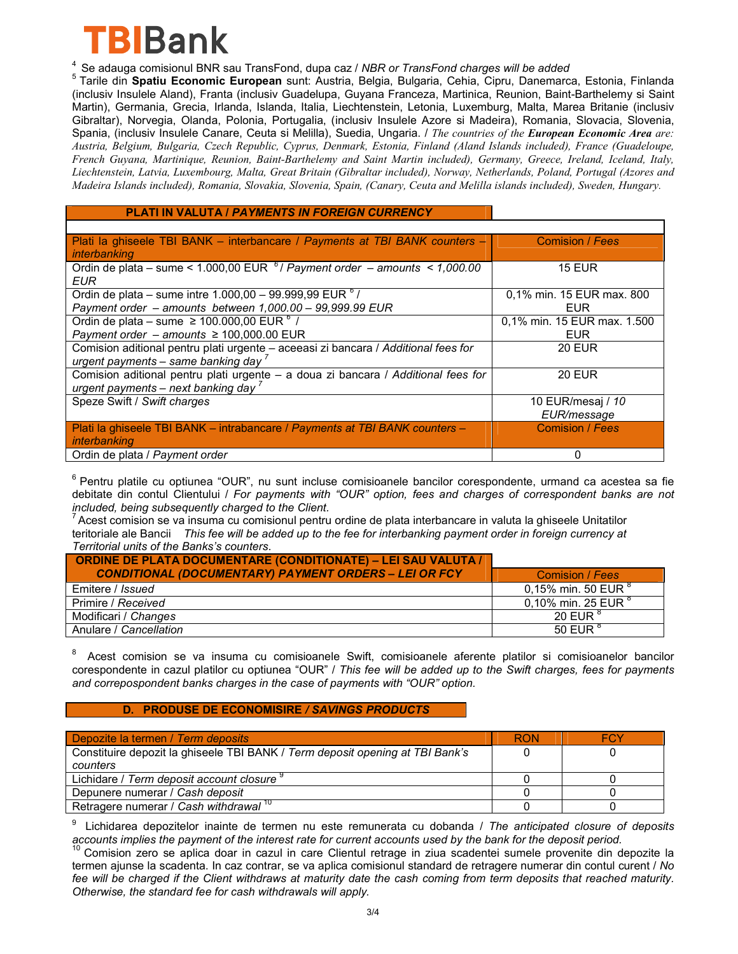

<sup>4</sup> Se adauga comisionul BNR sau TransFond, dupa caz / *NBR or TransFond charges will be added*<br><sup>5</sup> Tarile din **Spatiu Economic European** sunt: Austria, Belgia, Bulgaria, Cehia, Cipru, Danemarca, Estonia, Finlanda (inclusiv Insulele Aland), Franta (inclusiv Guadelupa, Guyana Franceza, Martinica, Reunion, Baint-Barthelemy si Saint Martin), Germania, Grecia, Irlanda, Islanda, Italia, Liechtenstein, Letonia, Luxemburg, Malta, Marea Britanie (inclusiv Gibraltar), Norvegia, Olanda, Polonia, Portugalia, (inclusiv Insulele Azore si Madeira), Romania, Slovacia, Slovenia, Spania, (inclusiv Insulele Canare, Ceuta si Melilla), Suedia, Ungaria. / *The countries of the European Economic Area are: Austria, Belgium, Bulgaria, Czech Republic, Cyprus, Denmark, Estonia, Finland (Aland Islands included), France (Guadeloupe, French Guyana, Martinique, Reunion, Baint-Barthelemy and Saint Martin included), Germany, Greece, Ireland, Iceland, Italy, Liechtenstein, Latvia, Luxembourg, Malta, Great Britain (Gibraltar included), Norway, Netherlands, Poland, Portugal (Azores and Madeira Islands included), Romania, Slovakia, Slovenia, Spain, (Canary, Ceuta and Melilla islands included), Sweden, Hungary.*

### **PLATI IN VALUTA /** *PAYMENTS IN FOREIGN CURRENCY*

| Plati la ghiseele TBI BANK - interbancare / Payments at TBI BANK counters -        | <b>Comision / Fees</b>      |
|------------------------------------------------------------------------------------|-----------------------------|
| <i>interbanking</i>                                                                |                             |
| Ordin de plata – sume < 1.000,00 EUR $^6$ / Payment order – amounts < 1,000.00     | <b>15 EUR</b>               |
| <b>EUR</b>                                                                         |                             |
| Ordin de plata – sume intre $1.000,00 - 99.999,99$ EUR $^{6}$ /                    | 0,1% min. 15 EUR max. 800   |
| Payment order - amounts between 1,000.00 - 99,999.99 EUR                           | EUR                         |
| Ordin de plata – sume $\geq 100.000000$ EUR $^{6}$ /                               | 0,1% min. 15 EUR max. 1.500 |
| Payment order - amounts $\geq 100,000.00$ EUR                                      | <b>EUR</b>                  |
| Comision aditional pentru plati urgente - aceeasi zi bancara / Additional fees for | <b>20 EUR</b>               |
| urgent payments - same banking day $^7$                                            |                             |
| Comision aditional pentru plati urgente - a doua zi bancara / Additional fees for  | <b>20 EUR</b>               |
| urgent payments – next banking day $^7$                                            |                             |
| Speze Swift / Swift charges                                                        | 10 EUR/mesaj / 10           |
|                                                                                    | EUR/message                 |
| Plati la ghiseele TBI BANK – intrabancare / Payments at TBI BANK counters –        | <b>Comision / Fees</b>      |
| interbanking                                                                       |                             |
| Ordin de plata / Payment order                                                     | 0                           |

<sup>6</sup> Pentru platile cu optiunea "OUR", nu sunt incluse comisioanele bancilor corespondente, urmand ca acestea sa fie debitate din contul Clientului / *For payments with "OUR" option, fees and charges of correspondent banks are not included, being subsequently charged to the Client.*<br><sup>7</sup> Acest comision se va insuma cu comisionul pentru ordine de plata interbancare in valuta la ghiseele Unitatilor

teritoriale ale Bancii *This fee will be added up to the fee for interbanking payment order in foreign currency at Territorial units of the Banks's counters*.

| <b>ORDINE DE PLATA DOCUMENTARE (CONDITIONATE) – LEI SAU VALUTA /</b><br><b>CONDITIONAL (DOCUMENTARY) PAYMENT ORDERS - LEI OR FCY</b> | Comision / Fees                |
|--------------------------------------------------------------------------------------------------------------------------------------|--------------------------------|
| Emitere / <i>Issued</i>                                                                                                              | 0,15% min. 50 EUR <sup>8</sup> |
| Primire / Received                                                                                                                   | 0,10% min. 25 EUR $^{8}$       |
| Modificari / Changes                                                                                                                 | 20 FUR $8$                     |
| Anulare / Cancellation                                                                                                               | 50 EUR $^{\circ}$              |

<sup>8</sup> Acest comision se va insuma cu comisioanele Swift, comisioanele aferente platilor si comisioanelor bancilor corespondente in cazul platilor cu optiunea "OUR" / *This fee will be added up to the Swift charges, fees for payments and correpospondent banks charges in the case of payments with "OUR" option.*

### **D. PRODUSE DE ECONOMISIRE** */ SAVINGS PRODUCTS*

| Depozite la termen / Term deposits                                            | <b>RON</b> | FCY |
|-------------------------------------------------------------------------------|------------|-----|
| Constituire depozit la ghiseele TBI BANK / Term deposit opening at TBI Bank's |            |     |
| counters                                                                      |            |     |
| Lichidare / Term deposit account closure                                      |            |     |
| Depunere numerar / Cash deposit                                               |            |     |
| Retragere numerar / Cash withdrawal 10                                        |            |     |

9 Lichidarea depozitelor inainte de termen nu este remunerata cu dobanda / *The anticipated closure of deposits* 

Comision zero se aplica doar in cazul in care Clientul retrage in ziua scadentei sumele provenite din depozite la termen ajunse la scadenta. In caz contrar, se va aplica comisionul standard de retragere numerar din contul curent / *No fee will be charged if the Client withdraws at maturity date the cash coming from term deposits that reached maturity. Otherwise, the standard fee for cash withdrawals will apply.*